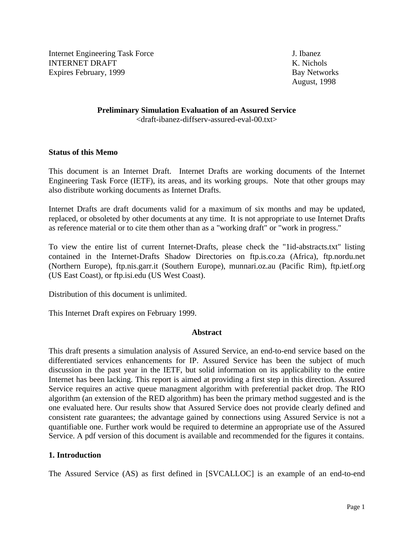Internet Engineering Task Force J. Ibanez INTERNET DRAFT NEWSLET AND RESERVE THE RESERVE TO A SERVE THE RESERVE TO A SERVE THE RESERVE TO A SERVE THE RESERVE TO A SERVE THE RESERVE THAT A SERVE THE RESERVE THAT A SERVE THE RESERVE THAT A SERVE THE RESERVE THAT A S Expires February, 1999 **Bay Networks** Bay Networks

August, 1998

### **Preliminary Simulation Evaluation of an Assured Service** <draft-ibanez-diffserv-assured-eval-00.txt>

### **Status of this Memo**

This document is an Internet Draft. Internet Drafts are working documents of the Internet Engineering Task Force (IETF), its areas, and its working groups. Note that other groups may also distribute working documents as Internet Drafts.

Internet Drafts are draft documents valid for a maximum of six months and may be updated, replaced, or obsoleted by other documents at any time. It is not appropriate to use Internet Drafts as reference material or to cite them other than as a "working draft" or "work in progress."

To view the entire list of current Internet-Drafts, please check the "1id-abstracts.txt" listing contained in the Internet-Drafts Shadow Directories on ftp.is.co.za (Africa), ftp.nordu.net (Northern Europe), ftp.nis.garr.it (Southern Europe), munnari.oz.au (Pacific Rim), ftp.ietf.org (US East Coast), or ftp.isi.edu (US West Coast).

Distribution of this document is unlimited.

This Internet Draft expires on February 1999.

### **Abstract**

This draft presents a simulation analysis of Assured Service, an end-to-end service based on the differentiated services enhancements for IP. Assured Service has been the subject of much discussion in the past year in the IETF, but solid information on its applicability to the entire Internet has been lacking. This report is aimed at providing a first step in this direction. Assured Service requires an active queue managment algorithm with preferential packet drop. The RIO algorithm (an extension of the RED algorithm) has been the primary method suggested and is the one evaluated here. Our results show that Assured Service does not provide clearly defined and consistent rate guarantees; the advantage gained by connections using Assured Service is not a quantifiable one. Further work would be required to determine an appropriate use of the Assured Service. A pdf version of this document is available and recommended for the figures it contains.

# **1. Introduction**

The Assured Service (AS) as first defined in [SVCALLOC] is an example of an end-to-end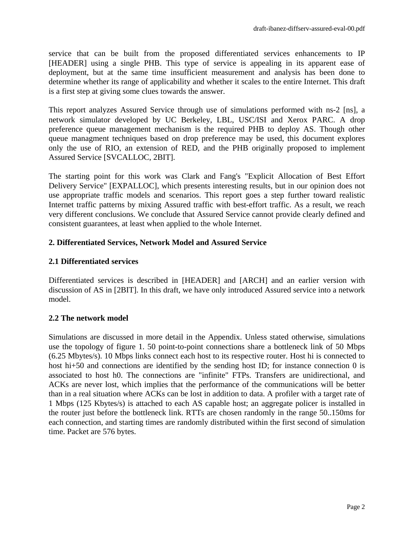service that can be built from the proposed differentiated services enhancements to IP [HEADER] using a single PHB. This type of service is appealing in its apparent ease of deployment, but at the same time insufficient measurement and analysis has been done to determine whether its range of applicability and whether it scales to the entire Internet. This draft is a first step at giving some clues towards the answer.

This report analyzes Assured Service through use of simulations performed with ns-2 [ns], a network simulator developed by UC Berkeley, LBL, USC/ISI and Xerox PARC. A drop preference queue management mechanism is the required PHB to deploy AS. Though other queue managment techniques based on drop preference may be used, this document explores only the use of RIO, an extension of RED, and the PHB originally proposed to implement Assured Service [SVCALLOC, 2BIT].

The starting point for this work was Clark and Fang's "Explicit Allocation of Best Effort Delivery Service" [EXPALLOC], which presents interesting results, but in our opinion does not use appropriate traffic models and scenarios. This report goes a step further toward realistic Internet traffic patterns by mixing Assured traffic with best-effort traffic. As a result, we reach very different conclusions. We conclude that Assured Service cannot provide clearly defined and consistent guarantees, at least when applied to the whole Internet.

# **2. Differentiated Services, Network Model and Assured Service**

## **2.1 Differentiated services**

Differentiated services is described in [HEADER] and [ARCH] and an earlier version with discussion of AS in [2BIT]. In this draft, we have only introduced Assured service into a network model.

### **2.2 The network model**

Simulations are discussed in more detail in the Appendix. Unless stated otherwise, simulations use the topology of figure 1. 50 point-to-point connections share a bottleneck link of 50 Mbps (6.25 Mbytes/s). 10 Mbps links connect each host to its respective router. Host hi is connected to host hi+50 and connections are identified by the sending host ID; for instance connection 0 is associated to host h0. The connections are "infinite" FTPs. Transfers are unidirectional, and ACKs are never lost, which implies that the performance of the communications will be better than in a real situation where ACKs can be lost in addition to data. A profiler with a target rate of 1 Mbps (125 Kbytes/s) is attached to each AS capable host; an aggregate policer is installed in the router just before the bottleneck link. RTTs are chosen randomly in the range 50..150ms for each connection, and starting times are randomly distributed within the first second of simulation time. Packet are 576 bytes.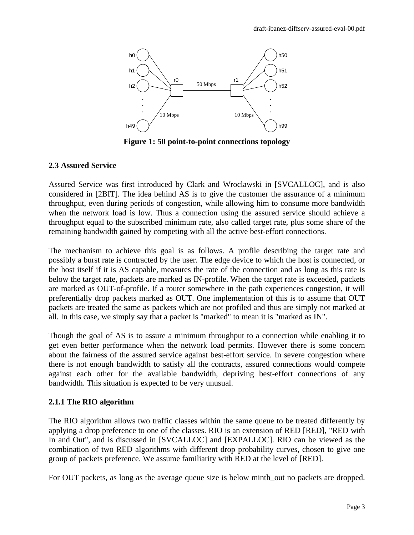

**Figure 1: 50 point-to-point connections topology**

## **2.3 Assured Service**

Assured Service was first introduced by Clark and Wroclawski in [SVCALLOC], and is also considered in [2BIT]. The idea behind AS is to give the customer the assurance of a minimum throughput, even during periods of congestion, while allowing him to consume more bandwidth when the network load is low. Thus a connection using the assured service should achieve a throughput equal to the subscribed minimum rate, also called target rate, plus some share of the remaining bandwidth gained by competing with all the active best-effort connections.

The mechanism to achieve this goal is as follows. A profile describing the target rate and possibly a burst rate is contracted by the user. The edge device to which the host is connected, or the host itself if it is AS capable, measures the rate of the connection and as long as this rate is below the target rate, packets are marked as IN-profile. When the target rate is exceeded, packets are marked as OUT-of-profile. If a router somewhere in the path experiences congestion, it will preferentially drop packets marked as OUT. One implementation of this is to assume that OUT packets are treated the same as packets which are not profiled and thus are simply not marked at all. In this case, we simply say that a packet is "marked" to mean it is "marked as IN".

Though the goal of AS is to assure a minimum throughput to a connection while enabling it to get even better performance when the network load permits. However there is some concern about the fairness of the assured service against best-effort service. In severe congestion where there is not enough bandwidth to satisfy all the contracts, assured connections would compete against each other for the available bandwidth, depriving best-effort connections of any bandwidth. This situation is expected to be very unusual.

# **2.1.1 The RIO algorithm**

The RIO algorithm allows two traffic classes within the same queue to be treated differently by applying a drop preference to one of the classes. RIO is an extension of RED [RED], "RED with In and Out", and is discussed in [SVCALLOC] and [EXPALLOC]. RIO can be viewed as the combination of two RED algorithms with different drop probability curves, chosen to give one group of packets preference. We assume familiarity with RED at the level of [RED].

For OUT packets, as long as the average queue size is below minth out no packets are dropped.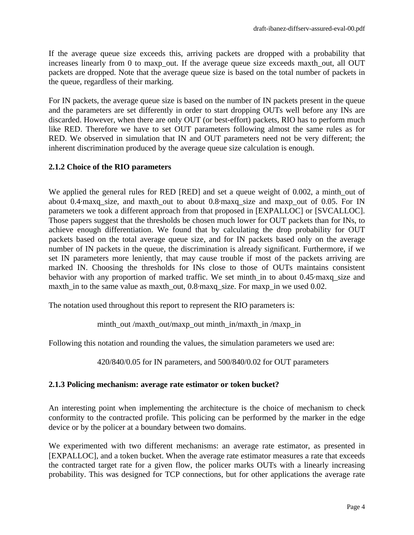If the average queue size exceeds this, arriving packets are dropped with a probability that increases linearly from 0 to maxp\_out. If the average queue size exceeds maxth\_out, all OUT packets are dropped. Note that the average queue size is based on the total number of packets in the queue, regardless of their marking.

For IN packets, the average queue size is based on the number of IN packets present in the queue and the parameters are set differently in order to start dropping OUTs well before any INs are discarded. However, when there are only OUT (or best-effort) packets, RIO has to perform much like RED. Therefore we have to set OUT parameters following almost the same rules as for RED. We observed in simulation that IN and OUT parameters need not be very different; the inherent discrimination produced by the average queue size calculation is enough.

## **2.1.2 Choice of the RIO parameters**

We applied the general rules for RED [RED] and set a queue weight of 0.002, a minth\_out of about 0.4 maxq size, and maxth out to about 0.8 maxq size and maxp out of 0.05. For IN parameters we took a different approach from that proposed in [EXPALLOC] or [SVCALLOC]. Those papers suggest that the thresholds be chosen much lower for OUT packets than for INs, to achieve enough differentiation. We found that by calculating the drop probability for OUT packets based on the total average queue size, and for IN packets based only on the average number of IN packets in the queue, the discrimination is already significant. Furthermore, if we set IN parameters more leniently, that may cause trouble if most of the packets arriving are marked IN. Choosing the thresholds for INs close to those of OUTs maintains consistent behavior with any proportion of marked traffic. We set minth\_in to about 0.45·maxq\_size and maxth\_in to the same value as maxth\_out, 0.8·maxq\_size. For maxp\_in we used 0.02.

The notation used throughout this report to represent the RIO parameters is:

minth out/maxth out/maxp\_out minth\_in/maxth\_in /maxp\_in

Following this notation and rounding the values, the simulation parameters we used are:

420/840/0.05 for IN parameters, and 500/840/0.02 for OUT parameters

### **2.1.3 Policing mechanism: average rate estimator or token bucket?**

An interesting point when implementing the architecture is the choice of mechanism to check conformity to the contracted profile. This policing can be performed by the marker in the edge device or by the policer at a boundary between two domains.

We experimented with two different mechanisms: an average rate estimator, as presented in [EXPALLOC], and a token bucket. When the average rate estimator measures a rate that exceeds the contracted target rate for a given flow, the policer marks OUTs with a linearly increasing probability. This was designed for TCP connections, but for other applications the average rate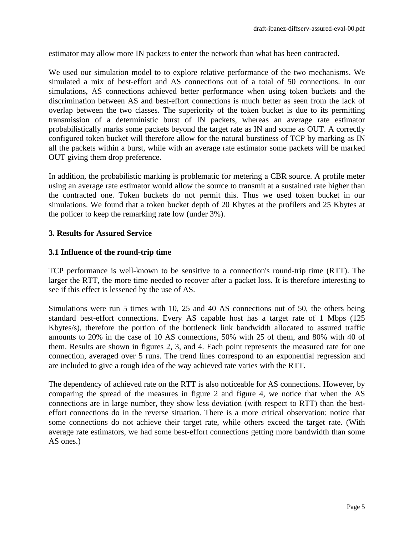estimator may allow more IN packets to enter the network than what has been contracted.

We used our simulation model to to explore relative performance of the two mechanisms. We simulated a mix of best-effort and AS connections out of a total of 50 connections. In our simulations, AS connections achieved better performance when using token buckets and the discrimination between AS and best-effort connections is much better as seen from the lack of overlap between the two classes. The superiority of the token bucket is due to its permitting transmission of a deterministic burst of IN packets, whereas an average rate estimator probabilistically marks some packets beyond the target rate as IN and some as OUT. A correctly configured token bucket will therefore allow for the natural burstiness of TCP by marking as IN all the packets within a burst, while with an average rate estimator some packets will be marked OUT giving them drop preference.

In addition, the probabilistic marking is problematic for metering a CBR source. A profile meter using an average rate estimator would allow the source to transmit at a sustained rate higher than the contracted one. Token buckets do not permit this. Thus we used token bucket in our simulations. We found that a token bucket depth of 20 Kbytes at the profilers and 25 Kbytes at the policer to keep the remarking rate low (under 3%).

### **3. Results for Assured Service**

### **3.1 Influence of the round-trip time**

TCP performance is well-known to be sensitive to a connection's round-trip time (RTT). The larger the RTT, the more time needed to recover after a packet loss. It is therefore interesting to see if this effect is lessened by the use of AS.

Simulations were run 5 times with 10, 25 and 40 AS connections out of 50, the others being standard best-effort connections. Every AS capable host has a target rate of 1 Mbps (125 Kbytes/s), therefore the portion of the bottleneck link bandwidth allocated to assured traffic amounts to 20% in the case of 10 AS connections, 50% with 25 of them, and 80% with 40 of them. Results are shown in figures 2, 3, and 4. Each point represents the measured rate for one connection, averaged over 5 runs. The trend lines correspond to an exponential regression and are included to give a rough idea of the way achieved rate varies with the RTT.

The dependency of achieved rate on the RTT is also noticeable for AS connections. However, by comparing the spread of the measures in figure 2 and figure 4, we notice that when the AS connections are in large number, they show less deviation (with respect to RTT) than the besteffort connections do in the reverse situation. There is a more critical observation: notice that some connections do not achieve their target rate, while others exceed the target rate. (With average rate estimators, we had some best-effort connections getting more bandwidth than some AS ones.)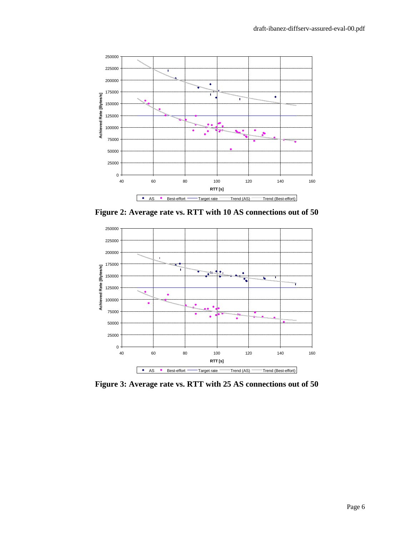

**Figure 2: Average rate vs. RTT with 10 AS connections out of 50**



**Figure 3: Average rate vs. RTT with 25 AS connections out of 50**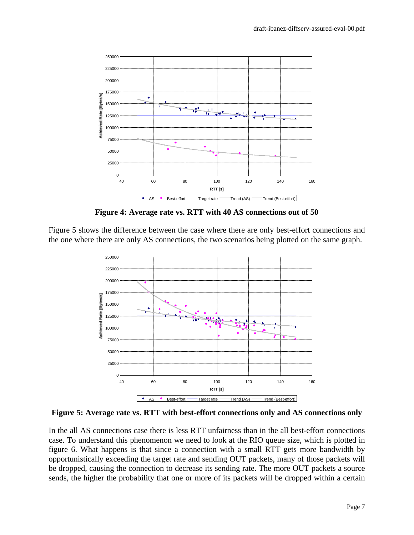

**Figure 4: Average rate vs. RTT with 40 AS connections out of 50**

Figure 5 shows the difference between the case where there are only best-effort connections and the one where there are only AS connections, the two scenarios being plotted on the same graph.



**Figure 5: Average rate vs. RTT with best-effort connections only and AS connections only**

In the all AS connections case there is less RTT unfairness than in the all best-effort connections case. To understand this phenomenon we need to look at the RIO queue size, which is plotted in figure 6. What happens is that since a connection with a small RTT gets more bandwidth by opportunistically exceeding the target rate and sending OUT packets, many of those packets will be dropped, causing the connection to decrease its sending rate. The more OUT packets a source sends, the higher the probability that one or more of its packets will be dropped within a certain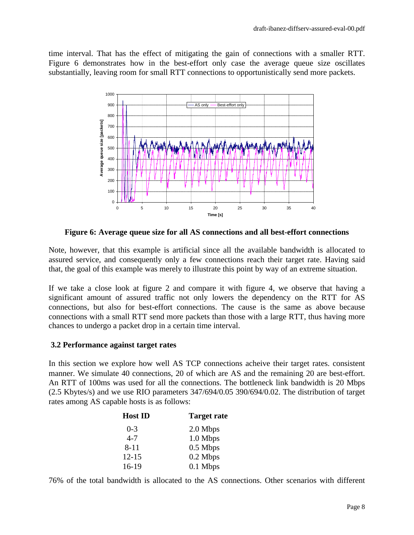time interval. That has the effect of mitigating the gain of connections with a smaller RTT. Figure 6 demonstrates how in the best-effort only case the average queue size oscillates substantially, leaving room for small RTT connections to opportunistically send more packets.



**Figure 6: Average queue size for all AS connections and all best-effort connections**

Note, however, that this example is artificial since all the available bandwidth is allocated to assured service, and consequently only a few connections reach their target rate. Having said that, the goal of this example was merely to illustrate this point by way of an extreme situation.

If we take a close look at figure 2 and compare it with figure 4, we observe that having a significant amount of assured traffic not only lowers the dependency on the RTT for AS connections, but also for best-effort connections. The cause is the same as above because connections with a small RTT send more packets than those with a large RTT, thus having more chances to undergo a packet drop in a certain time interval.

### **3.2 Performance against target rates**

In this section we explore how well AS TCP connections acheive their target rates. consistent manner. We simulate 40 connections, 20 of which are AS and the remaining 20 are best-effort. An RTT of 100ms was used for all the connections. The bottleneck link bandwidth is 20 Mbps (2.5 Kbytes/s) and we use RIO parameters 347/694/0.05 390/694/0.02. The distribution of target rates among AS capable hosts is as follows:

| <b>Host ID</b> | <b>Target rate</b> |
|----------------|--------------------|
| $0 - 3$        | 2.0 Mbps           |
| $4 - 7$        | 1.0 Mbps           |
| $8 - 11$       | 0.5 Mbps           |
| $12 - 15$      | 0.2 Mbps           |
| $16-19$        | $0.1$ Mbps         |

76% of the total bandwidth is allocated to the AS connections. Other scenarios with different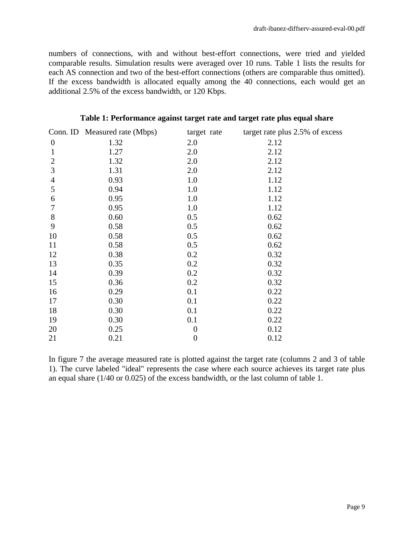numbers of connections, with and without best-effort connections, were tried and yielded comparable results. Simulation results were averaged over 10 runs. Table 1 lists the results for each AS connection and two of the best-effort connections (others are comparable thus omitted). If the excess bandwidth is allocated equally among the 40 connections, each would get an additional 2.5% of the excess bandwidth, or 120 Kbps.

|                  | Conn. ID Measured rate (Mbps) | target rate      | target rate plus 2.5% of excess |
|------------------|-------------------------------|------------------|---------------------------------|
| $\boldsymbol{0}$ | 1.32                          | 2.0              | 2.12                            |
| $\mathbf{1}$     | 1.27                          | 2.0              | 2.12                            |
| $\mathbf{2}$     | 1.32                          | 2.0              | 2.12                            |
| 3                | 1.31                          | 2.0              | 2.12                            |
| $\overline{4}$   | 0.93                          | 1.0              | 1.12                            |
| 5                | 0.94                          | 1.0              | 1.12                            |
| 6                | 0.95                          | 1.0              | 1.12                            |
| $\tau$           | 0.95                          | 1.0              | 1.12                            |
| 8                | 0.60                          | 0.5              | 0.62                            |
| 9                | 0.58                          | 0.5              | 0.62                            |
| 10               | 0.58                          | 0.5              | 0.62                            |
| 11               | 0.58                          | 0.5              | 0.62                            |
| 12               | 0.38                          | 0.2              | 0.32                            |
| 13               | 0.35                          | 0.2              | 0.32                            |
| 14               | 0.39                          | 0.2              | 0.32                            |
| 15               | 0.36                          | 0.2              | 0.32                            |
| 16               | 0.29                          | 0.1              | 0.22                            |
| 17               | 0.30                          | 0.1              | 0.22                            |
| 18               | 0.30                          | 0.1              | 0.22                            |
| 19               | 0.30                          | 0.1              | 0.22                            |
| 20               | 0.25                          | $\boldsymbol{0}$ | 0.12                            |
| 21               | 0.21                          | $\boldsymbol{0}$ | 0.12                            |

#### **Table 1: Performance against target rate and target rate plus equal share**

In figure 7 the average measured rate is plotted against the target rate (columns 2 and 3 of table 1). The curve labeled "ideal" represents the case where each source achieves its target rate plus an equal share (1/40 or 0.025) of the excess bandwidth, or the last column of table 1.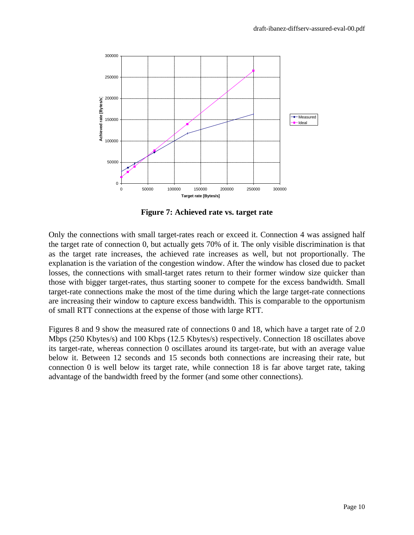

**Figure 7: Achieved rate vs. target rate**

Only the connections with small target-rates reach or exceed it. Connection 4 was assigned half the target rate of connection 0, but actually gets 70% of it. The only visible discrimination is that as the target rate increases, the achieved rate increases as well, but not proportionally. The explanation is the variation of the congestion window. After the window has closed due to packet losses, the connections with small-target rates return to their former window size quicker than those with bigger target-rates, thus starting sooner to compete for the excess bandwidth. Small target-rate connections make the most of the time during which the large target-rate connections are increasing their window to capture excess bandwidth. This is comparable to the opportunism of small RTT connections at the expense of those with large RTT.

Figures 8 and 9 show the measured rate of connections 0 and 18, which have a target rate of 2.0 Mbps (250 Kbytes/s) and 100 Kbps (12.5 Kbytes/s) respectively. Connection 18 oscillates above its target-rate, whereas connection 0 oscillates around its target-rate, but with an average value below it. Between 12 seconds and 15 seconds both connections are increasing their rate, but connection 0 is well below its target rate, while connection 18 is far above target rate, taking advantage of the bandwidth freed by the former (and some other connections).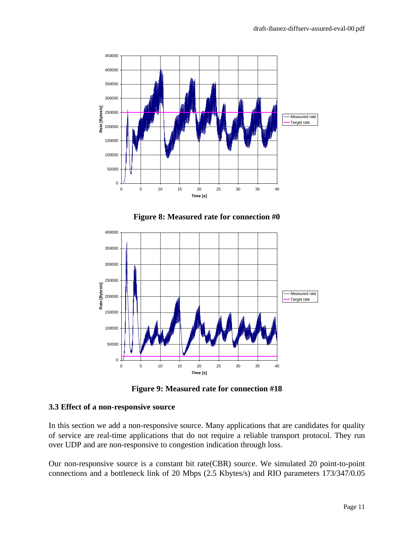

**Figure 8: Measured rate for connection #0**



**Figure 9: Measured rate for connection #18**

#### **3.3 Effect of a non-responsive source**

In this section we add a non-responsive source. Many applications that are candidates for quality of service are real-time applications that do not require a reliable transport protocol. They run over UDP and are non-responsive to congestion indication through loss.

Our non-responsive source is a constant bit rate(CBR) source. We simulated 20 point-to-point connections and a bottleneck link of 20 Mbps (2.5 Kbytes/s) and RIO parameters 173/347/0.05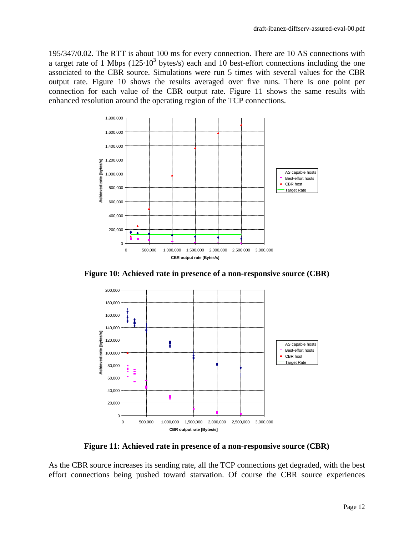195/347/0.02. The RTT is about 100 ms for every connection. There are 10 AS connections with a target rate of 1 Mbps ( $125 \cdot 10^3$  bytes/s) each and 10 best-effort connections including the one associated to the CBR source. Simulations were run 5 times with several values for the CBR output rate. Figure 10 shows the results averaged over five runs. There is one point per connection for each value of the CBR output rate. Figure 11 shows the same results with enhanced resolution around the operating region of the TCP connections.



**Figure 10: Achieved rate in presence of a non-responsive source (CBR)**



**Figure 11: Achieved rate in presence of a non-responsive source (CBR)**

As the CBR source increases its sending rate, all the TCP connections get degraded, with the best effort connections being pushed toward starvation. Of course the CBR source experiences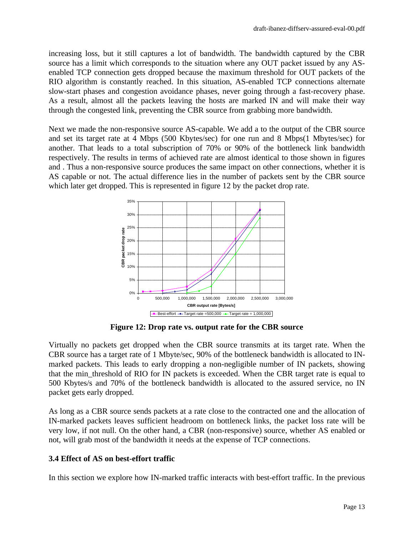increasing loss, but it still captures a lot of bandwidth. The bandwidth captured by the CBR source has a limit which corresponds to the situation where any OUT packet issued by any ASenabled TCP connection gets dropped because the maximum threshold for OUT packets of the RIO algorithm is constantly reached. In this situation, AS-enabled TCP connections alternate slow-start phases and congestion avoidance phases, never going through a fast-recovery phase. As a result, almost all the packets leaving the hosts are marked IN and will make their way through the congested link, preventing the CBR source from grabbing more bandwidth.

Next we made the non-responsive source AS-capable. We add a to the output of the CBR source and set its target rate at 4 Mbps (500 Kbytes/sec) for one run and 8 Mbps(1 Mbytes/sec) for another. That leads to a total subscription of 70% or 90% of the bottleneck link bandwidth respectively. The results in terms of achieved rate are almost identical to those shown in figures and . Thus a non-responsive source produces the same impact on other connections, whether it is AS capable or not. The actual difference lies in the number of packets sent by the CBR source which later get dropped. This is represented in figure 12 by the packet drop rate.



**Figure 12: Drop rate vs. output rate for the CBR source**

Virtually no packets get dropped when the CBR source transmits at its target rate. When the CBR source has a target rate of 1 Mbyte/sec, 90% of the bottleneck bandwidth is allocated to INmarked packets. This leads to early dropping a non-negligible number of IN packets, showing that the min\_threshold of RIO for IN packets is exceeded. When the CBR target rate is equal to 500 Kbytes/s and 70% of the bottleneck bandwidth is allocated to the assured service, no IN packet gets early dropped.

As long as a CBR source sends packets at a rate close to the contracted one and the allocation of IN-marked packets leaves sufficient headroom on bottleneck links, the packet loss rate will be very low, if not null. On the other hand, a CBR (non-responsive) source, whether AS enabled or not, will grab most of the bandwidth it needs at the expense of TCP connections.

# **3.4 Effect of AS on best-effort traffic**

In this section we explore how IN-marked traffic interacts with best-effort traffic. In the previous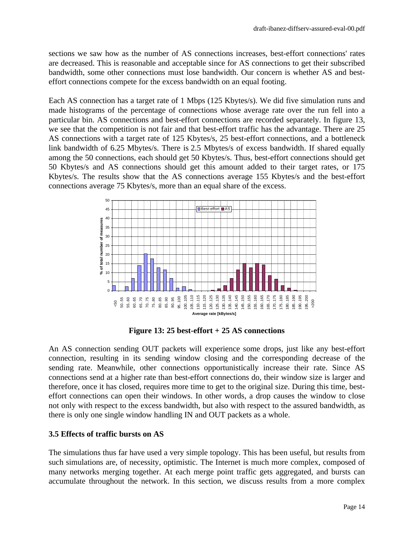sections we saw how as the number of AS connections increases, best-effort connections' rates are decreased. This is reasonable and acceptable since for AS connections to get their subscribed bandwidth, some other connections must lose bandwidth. Our concern is whether AS and besteffort connections compete for the excess bandwidth on an equal footing.

Each AS connection has a target rate of 1 Mbps (125 Kbytes/s). We did five simulation runs and made histograms of the percentage of connections whose average rate over the run fell into a particular bin. AS connections and best-effort connections are recorded separately. In figure 13, we see that the competition is not fair and that best-effort traffic has the advantage. There are 25 AS connections with a target rate of 125 Kbytes/s, 25 best-effort connections, and a bottleneck link bandwidth of 6.25 Mbytes/s. There is 2.5 Mbytes/s of excess bandwidth. If shared equally among the 50 connections, each should get 50 Kbytes/s. Thus, best-effort connections should get 50 Kbytes/s and AS connections should get this amount added to their target rates, or 175 Kbytes/s. The results show that the AS connections average 155 Kbytes/s and the best-effort connections average 75 Kbytes/s, more than an equal share of the excess.



**Figure 13: 25 best-effort + 25 AS connections**

An AS connection sending OUT packets will experience some drops, just like any best-effort connection, resulting in its sending window closing and the corresponding decrease of the sending rate. Meanwhile, other connections opportunistically increase their rate. Since AS connections send at a higher rate than best-effort connections do, their window size is larger and therefore, once it has closed, requires more time to get to the original size. During this time, besteffort connections can open their windows. In other words, a drop causes the window to close not only with respect to the excess bandwidth, but also with respect to the assured bandwidth, as there is only one single window handling IN and OUT packets as a whole.

### **3.5 Effects of traffic bursts on AS**

The simulations thus far have used a very simple topology. This has been useful, but results from such simulations are, of necessity, optimistic. The Internet is much more complex, composed of many networks merging together. At each merge point traffic gets aggregated, and bursts can accumulate throughout the network. In this section, we discuss results from a more complex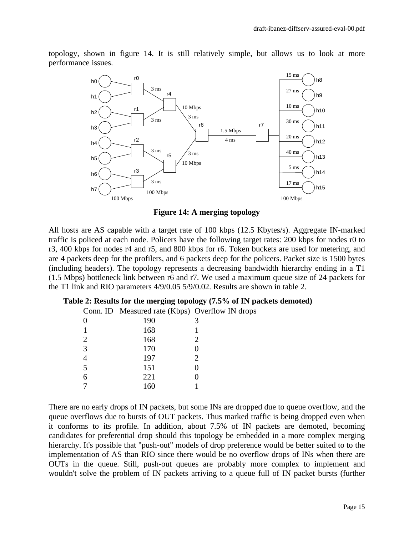topology, shown in figure 14. It is still relatively simple, but allows us to look at more performance issues.



**Figure 14: A merging topology**

All hosts are AS capable with a target rate of 100 kbps (12.5 Kbytes/s). Aggregate IN-marked traffic is policed at each node. Policers have the following target rates: 200 kbps for nodes r0 to r3, 400 kbps for nodes r4 and r5, and 800 kbps for r6. Token buckets are used for metering, and are 4 packets deep for the profilers, and 6 packets deep for the policers. Packet size is 1500 bytes (including headers). The topology represents a decreasing bandwidth hierarchy ending in a T1 (1.5 Mbps) bottleneck link between r6 and r7. We used a maximum queue size of 24 packets for the T1 link and RIO parameters 4/9/0.05 5/9/0.02. Results are shown in table 2.

|  | Table 2: Results for the merging topology (7.5% of IN packets demoted) |  |  |  |
|--|------------------------------------------------------------------------|--|--|--|
|--|------------------------------------------------------------------------|--|--|--|

Conn. ID Measured rate (Kbps) Overflow IN drops

|                | x<br>л. | $\overline{\phantom{a}}$ |
|----------------|---------|--------------------------|
| $\overline{0}$ | 190     | 3                        |
| 1              | 168     | 1                        |
| $\overline{2}$ | 168     | $\overline{2}$           |
| 3              | 170     | 0                        |
| 4              | 197     | $\overline{2}$           |
| $\overline{5}$ | 151     | 0                        |
| 6              | 221     | ( )                      |
| 7              | 160     |                          |

There are no early drops of IN packets, but some INs are dropped due to queue overflow, and the queue overflows due to bursts of OUT packets. Thus marked traffic is being dropped even when it conforms to its profile. In addition, about 7.5% of IN packets are demoted, becoming candidates for preferential drop should this topology be embedded in a more complex merging hierarchy. It's possible that "push-out" models of drop preference would be better suited to to the implementation of AS than RIO since there would be no overflow drops of INs when there are OUTs in the queue. Still, push-out queues are probably more complex to implement and wouldn't solve the problem of IN packets arriving to a queue full of IN packet bursts (further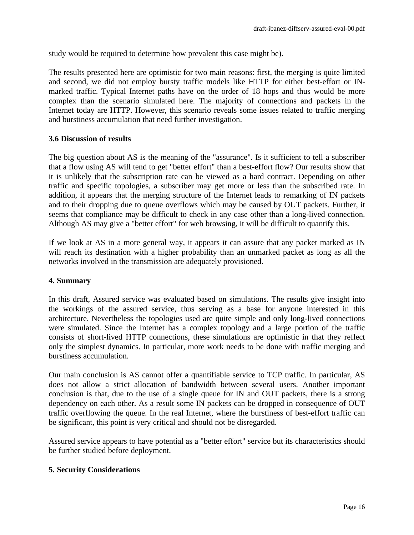study would be required to determine how prevalent this case might be).

The results presented here are optimistic for two main reasons: first, the merging is quite limited and second, we did not employ bursty traffic models like HTTP for either best-effort or INmarked traffic. Typical Internet paths have on the order of 18 hops and thus would be more complex than the scenario simulated here. The majority of connections and packets in the Internet today are HTTP. However, this scenario reveals some issues related to traffic merging and burstiness accumulation that need further investigation.

#### **3.6 Discussion of results**

The big question about AS is the meaning of the "assurance". Is it sufficient to tell a subscriber that a flow using AS will tend to get "better effort" than a best-effort flow? Our results show that it is unlikely that the subscription rate can be viewed as a hard contract. Depending on other traffic and specific topologies, a subscriber may get more or less than the subscribed rate. In addition, it appears that the merging structure of the Internet leads to remarking of IN packets and to their dropping due to queue overflows which may be caused by OUT packets. Further, it seems that compliance may be difficult to check in any case other than a long-lived connection. Although AS may give a "better effort" for web browsing, it will be difficult to quantify this.

If we look at AS in a more general way, it appears it can assure that any packet marked as IN will reach its destination with a higher probability than an unmarked packet as long as all the networks involved in the transmission are adequately provisioned.

#### **4. Summary**

In this draft, Assured service was evaluated based on simulations. The results give insight into the workings of the assured service, thus serving as a base for anyone interested in this architecture. Nevertheless the topologies used are quite simple and only long-lived connections were simulated. Since the Internet has a complex topology and a large portion of the traffic consists of short-lived HTTP connections, these simulations are optimistic in that they reflect only the simplest dynamics. In particular, more work needs to be done with traffic merging and burstiness accumulation.

Our main conclusion is AS cannot offer a quantifiable service to TCP traffic. In particular, AS does not allow a strict allocation of bandwidth between several users. Another important conclusion is that, due to the use of a single queue for IN and OUT packets, there is a strong dependency on each other. As a result some IN packets can be dropped in consequence of OUT traffic overflowing the queue. In the real Internet, where the burstiness of best-effort traffic can be significant, this point is very critical and should not be disregarded.

Assured service appears to have potential as a "better effort" service but its characteristics should be further studied before deployment.

#### **5. Security Considerations**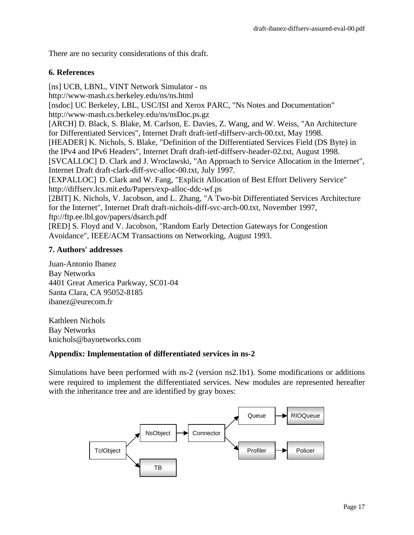There are no security considerations of this draft.

## **6. References**

[ns] UCB, LBNL, VINT Network Simulator - ns http://www-mash.cs.berkeley.edu/ns/ns.html [nsdoc] UC Berkeley, LBL, USC/ISI and Xerox PARC, "Ns Notes and Documentation" http://www-mash.cs.berkeley.edu/ns/nsDoc.ps.gz [ARCH] D. Black, S. Blake, M. Carlson, E. Davies, Z. Wang, and W. Weiss, "An Architecture for Differentiated Services", Internet Draft draft-ietf-diffserv-arch-00.txt, May 1998. [HEADER] K. Nichols, S. Blake, "Definition of the Differentiated Services Field (DS Byte) in the IPv4 and IPv6 Headers", Internet Draft draft-ietf-diffserv-header-02.txt, August 1998. [SVCALLOC] D. Clark and J. Wroclawski, "An Approach to Service Allocation in the Internet", Internet Draft draft-clark-diff-svc-alloc-00.txt, July 1997. [EXPALLOC] D. Clark and W. Fang, "Explicit Allocation of Best Effort Delivery Service" http://diffserv.lcs.mit.edu/Papers/exp-alloc-ddc-wf.ps [2BIT] K. Nichols, V. Jacobson, and L. Zhang, "A Two-bit Differentiated Services Architecture for the Internet", Internet Draft draft-nichols-diff-svc-arch-00.txt, November 1997, ftp://ftp.ee.lbl.gov/papers/dsarch.pdf [RED] S. Floyd and V. Jacobson, "Random Early Detection Gateways for Congestion Avoidance", IEEE/ACM Transactions on Networking, August 1993.

## **7. Authors' addresses**

Juan-Antonio Ibanez Bay Networks 4401 Great America Parkway, SC01-04 Santa Clara, CA 95052-8185 ibanez@eurecom.fr

Kathleen Nichols Bay Networks knichols@baynetworks.com

# **Appendix: Implementation of differentiated services in ns-2**

Simulations have been performed with ns-2 (version ns2.1b1). Some modifications or additions were required to implement the differentiated services. New modules are represented hereafter with the inheritance tree and are identified by gray boxes:

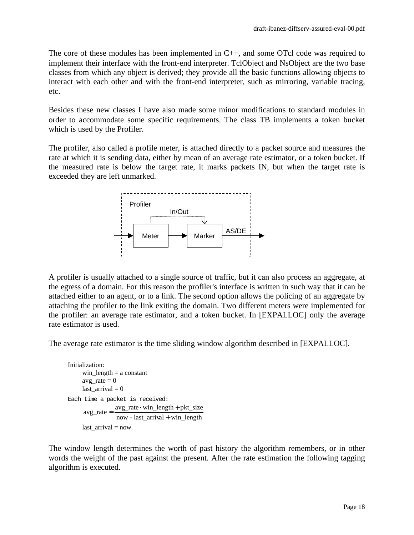The core of these modules has been implemented in C++, and some OTcl code was required to implement their interface with the front-end interpreter. TclObject and NsObject are the two base classes from which any object is derived; they provide all the basic functions allowing objects to interact with each other and with the front-end interpreter, such as mirroring, variable tracing, etc.

Besides these new classes I have also made some minor modifications to standard modules in order to accommodate some specific requirements. The class TB implements a token bucket which is used by the Profiler.

The profiler, also called a profile meter, is attached directly to a packet source and measures the rate at which it is sending data, either by mean of an average rate estimator, or a token bucket. If the measured rate is below the target rate, it marks packets IN, but when the target rate is exceeded they are left unmarked.



A profiler is usually attached to a single source of traffic, but it can also process an aggregate, at the egress of a domain. For this reason the profiler's interface is written in such way that it can be attached either to an agent, or to a link. The second option allows the policing of an aggregate by attaching the profiler to the link exiting the domain. Two different meters were implemented for the profiler: an average rate estimator, and a token bucket. In [EXPALLOC] only the average rate estimator is used.

The average rate estimator is the time sliding window algorithm described in [EXPALLOC].

```
Initialization:
     win length = a constantavg\_rate = 0last \arrival = 0Each time a packet is received:
                 now - last_arrival + win_length
                 avg_rate · win_length + pkt_size
     avg_rate
=
     last\_arrival = now
```
The window length determines the worth of past history the algorithm remembers, or in other words the weight of the past against the present. After the rate estimation the following tagging algorithm is executed.